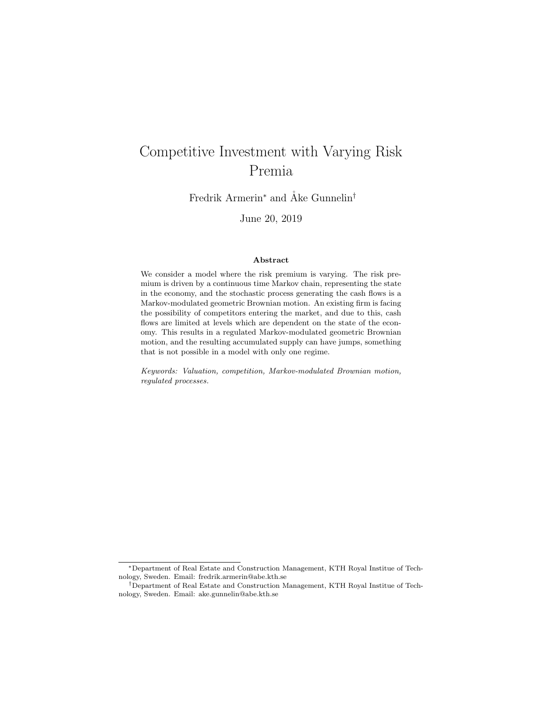# Competitive Investment with Varying Risk Premia

Fredrik Armerin<sup>∗</sup> and Åke Gunnelin<sup>†</sup>

June 20, 2019

#### Abstract

We consider a model where the risk premium is varying. The risk premium is driven by a continuous time Markov chain, representing the state in the economy, and the stochastic process generating the cash flows is a Markov-modulated geometric Brownian motion. An existing firm is facing the possibility of competitors entering the market, and due to this, cash flows are limited at levels which are dependent on the state of the economy. This results in a regulated Markov-modulated geometric Brownian motion, and the resulting accumulated supply can have jumps, something that is not possible in a model with only one regime.

Keywords: Valuation, competition, Markov-modulated Brownian motion, regulated processes.

<sup>∗</sup>Department of Real Estate and Construction Management, KTH Royal Institue of Technology, Sweden. Email: fredrik.armerin@abe.kth.se

<sup>†</sup>Department of Real Estate and Construction Management, KTH Royal Institue of Technology, Sweden. Email: ake.gunnelin@abe.kth.se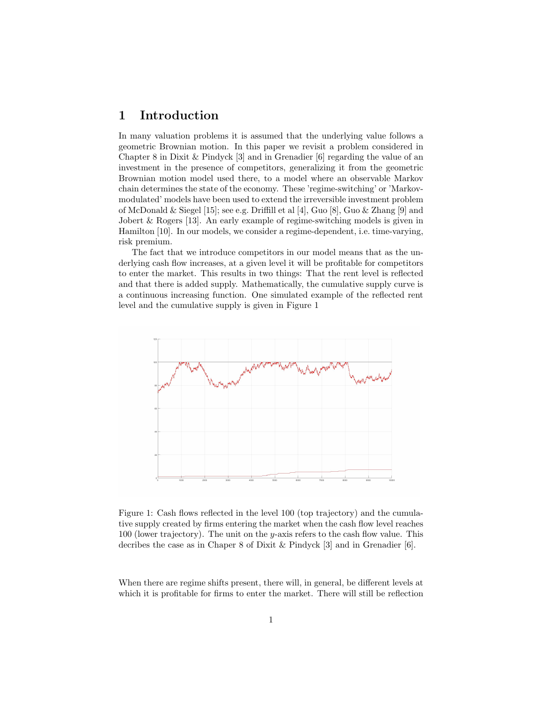# 1 Introduction

In many valuation problems it is assumed that the underlying value follows a geometric Brownian motion. In this paper we revisit a problem considered in Chapter 8 in Dixit & Pindyck [3] and in Grenadier [6] regarding the value of an investment in the presence of competitors, generalizing it from the geometric Brownian motion model used there, to a model where an observable Markov chain determines the state of the economy. These 'regime-switching' or 'Markovmodulated' models have been used to extend the irreversible investment problem of McDonald & Siegel [15]; see e.g. Driffill et al [4], Guo [8], Guo & Zhang [9] and Jobert & Rogers [13]. An early example of regime-switching models is given in Hamilton [10]. In our models, we consider a regime-dependent, i.e. time-varying, risk premium.

The fact that we introduce competitors in our model means that as the underlying cash flow increases, at a given level it will be profitable for competitors to enter the market. This results in two things: That the rent level is reflected and that there is added supply. Mathematically, the cumulative supply curve is a continuous increasing function. One simulated example of the reflected rent level and the cumulative supply is given in Figure 1



Figure 1: Cash flows reflected in the level 100 (top trajectory) and the cumulative supply created by firms entering the market when the cash flow level reaches 100 (lower trajectory). The unit on the y-axis refers to the cash flow value. This decribes the case as in Chaper 8 of Dixit & Pindyck [3] and in Grenadier [6].

When there are regime shifts present, there will, in general, be different levels at which it is profitable for firms to enter the market. There will still be reflection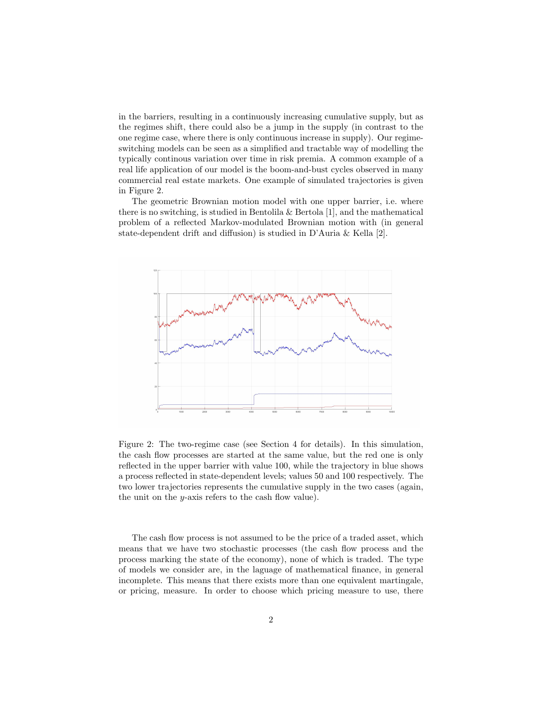in the barriers, resulting in a continuously increasing cumulative supply, but as the regimes shift, there could also be a jump in the supply (in contrast to the one regime case, where there is only continuous increase in supply). Our regimeswitching models can be seen as a simplified and tractable way of modelling the typically continous variation over time in risk premia. A common example of a real life application of our model is the boom-and-bust cycles observed in many commercial real estate markets. One example of simulated trajectories is given in Figure 2.

The geometric Brownian motion model with one upper barrier, i.e. where there is no switching, is studied in Bentolila & Bertola  $[1]$ , and the mathematical problem of a reflected Markov-modulated Brownian motion with (in general state-dependent drift and diffusion) is studied in D'Auria & Kella [2].



Figure 2: The two-regime case (see Section 4 for details). In this simulation, the cash flow processes are started at the same value, but the red one is only reflected in the upper barrier with value 100, while the trajectory in blue shows a process reflected in state-dependent levels; values 50 and 100 respectively. The two lower trajectories represents the cumulative supply in the two cases (again, the unit on the y-axis refers to the cash flow value).

The cash flow process is not assumed to be the price of a traded asset, which means that we have two stochastic processes (the cash flow process and the process marking the state of the economy), none of which is traded. The type of models we consider are, in the laguage of mathematical finance, in general incomplete. This means that there exists more than one equivalent martingale, or pricing, measure. In order to choose which pricing measure to use, there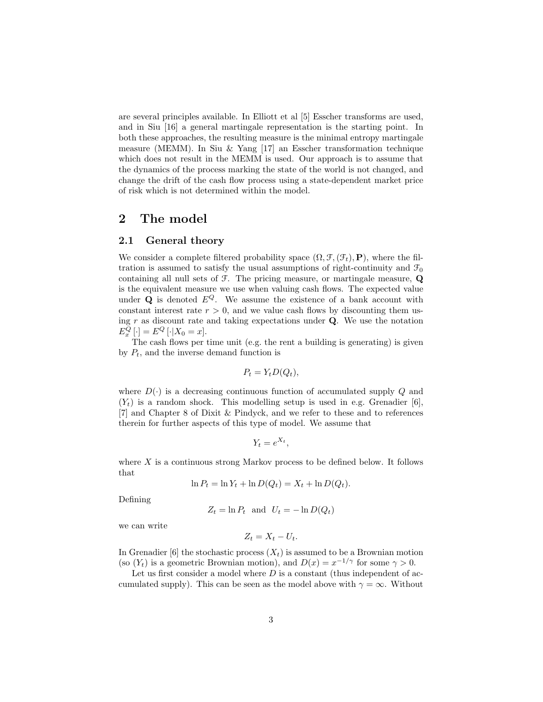are several principles available. In Elliott et al [5] Esscher transforms are used, and in Siu [16] a general martingale representation is the starting point. In both these approaches, the resulting measure is the minimal entropy martingale measure (MEMM). In Siu & Yang [17] an Esscher transformation technique which does not result in the MEMM is used. Our approach is to assume that the dynamics of the process marking the state of the world is not changed, and change the drift of the cash flow process using a state-dependent market price of risk which is not determined within the model.

## 2 The model

#### 2.1 General theory

We consider a complete filtered probability space  $(\Omega, \mathcal{F}, (\mathcal{F}_t), P)$ , where the filtration is assumed to satisfy the usual assumptions of right-continuity and  $\mathcal{F}_0$ containing all null sets of F. The pricing measure, or martingale measure, Q is the equivalent measure we use when valuing cash flows. The expected value under  $Q$  is denoted  $E^Q$ . We assume the existence of a bank account with constant interest rate  $r > 0$ , and we value cash flows by discounting them using r as discount rate and taking expectations under  $Q$ . We use the notation  $E_x^Q[\cdot] = E^Q[\cdot|X_0 = x].$ 

The cash flows per time unit (e.g. the rent a building is generating) is given by  $P_t$ , and the inverse demand function is

$$
P_t = Y_t D(Q_t),
$$

where  $D(\cdot)$  is a decreasing continuous function of accumulated supply Q and  $(Y<sub>t</sub>)$  is a random shock. This modelling setup is used in e.g. Grenadier [6], [7] and Chapter 8 of Dixit & Pindyck, and we refer to these and to references therein for further aspects of this type of model. We assume that

$$
Y_t = e^{X_t},
$$

where  $X$  is a continuous strong Markov process to be defined below. It follows that

$$
\ln P_t = \ln Y_t + \ln D(Q_t) = X_t + \ln D(Q_t).
$$

Defining

$$
Z_t = \ln P_t \text{ and } U_t = -\ln D(Q_t)
$$

we can write

$$
Z_t = X_t - U_t.
$$

In Grenadier [6] the stochastic process  $(X_t)$  is assumed to be a Brownian motion (so  $(Y_t)$  is a geometric Brownian motion), and  $D(x) = x^{-1/\gamma}$  for some  $\gamma > 0$ .

Let us first consider a model where  $D$  is a constant (thus independent of accumulated supply). This can be seen as the model above with  $\gamma = \infty$ . Without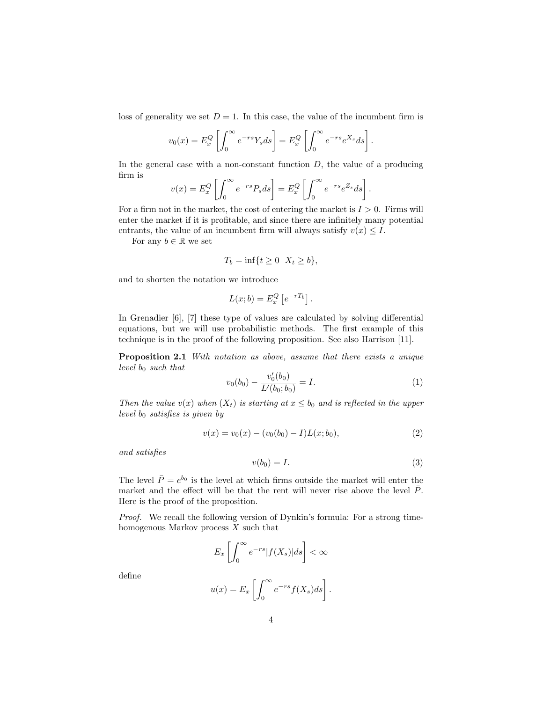loss of generality we set  $D = 1$ . In this case, the value of the incumbent firm is

$$
v_0(x) = E_x^Q \left[ \int_0^\infty e^{-rs} Y_s ds \right] = E_x^Q \left[ \int_0^\infty e^{-rs} e^{X_s} ds \right].
$$

In the general case with a non-constant function  $D$ , the value of a producing firm is

$$
v(x) = E_x^Q \left[ \int_0^\infty e^{-rs} P_s ds \right] = E_x^Q \left[ \int_0^\infty e^{-rs} e^{Z_s} ds \right].
$$

For a firm not in the market, the cost of entering the market is  $I > 0$ . Firms will enter the market if it is profitable, and since there are infinitely many potential entrants, the value of an incumbent firm will always satisfy  $v(x) \leq I$ .

For any  $b \in \mathbb{R}$  we set

$$
T_b = \inf\{t \ge 0 \,|\, X_t \ge b\},\
$$

and to shorten the notation we introduce

$$
L(x;b) = E_x^Q \left[ e^{-rT_b} \right].
$$

In Grenadier [6], [7] these type of values are calculated by solving differential equations, but we will use probabilistic methods. The first example of this technique is in the proof of the following proposition. See also Harrison [11].

Proposition 2.1 With notation as above, assume that there exists a unique level  $b_0$  such that

$$
v_0(b_0) - \frac{v'_0(b_0)}{L'(b_0; b_0)} = I.
$$
\n(1)

Then the value  $v(x)$  when  $(X_t)$  is starting at  $x \leq b_0$  and is reflected in the upper level  $b_0$  satisfies is given by

$$
v(x) = v_0(x) - (v_0(b_0) - I)L(x; b_0),
$$
\n(2)

and satisfies

$$
v(b_0) = I. \tag{3}
$$

The level  $\bar{P} = e^{b_0}$  is the level at which firms outside the market will enter the market and the effect will be that the rent will never rise above the level  $\bar{P}$ . Here is the proof of the proposition.

Proof. We recall the following version of Dynkin's formula: For a strong timehomogenous Markov process X such that

$$
E_x\left[\int_0^\infty e^{-rs}|f(X_s)|ds\right]<\infty
$$

define

$$
u(x) = E_x \left[ \int_0^\infty e^{-rs} f(X_s) ds \right].
$$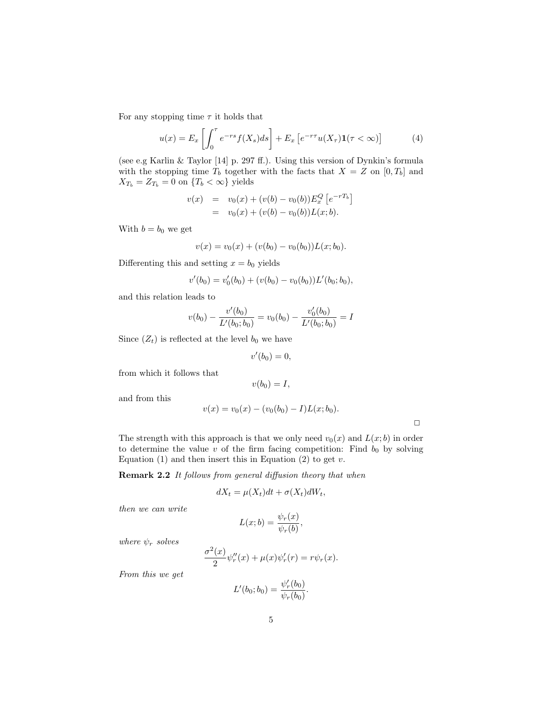For any stopping time  $\tau$  it holds that

$$
u(x) = E_x \left[ \int_0^{\tau} e^{-rs} f(X_s) ds \right] + E_x \left[ e^{-r\tau} u(X_{\tau}) \mathbf{1}(\tau < \infty) \right]
$$
 (4)

(see e.g Karlin & Taylor [14] p. 297 ff.). Using this version of Dynkin's formula with the stopping time  $T_b$  together with the facts that  $X = Z$  on  $[0, T_b]$  and  $X_{T_b} = Z_{T_b} = 0$  on  $\{T_b < \infty\}$  yields

$$
v(x) = v_0(x) + (v(b) - v_0(b))E_x^Q[e^{-rT_b}]
$$
  
=  $v_0(x) + (v(b) - v_0(b))L(x;b).$ 

With  $b = b_0$  we get

$$
v(x) = v_0(x) + (v(b_0) - v_0(b_0))L(x; b_0).
$$

Differenting this and setting  $x = b_0$  yields

$$
v'(b_0) = v'_0(b_0) + (v(b_0) - v_0(b_0))L'(b_0; b_0),
$$

and this relation leads to

$$
v(b_0) - \frac{v'(b_0)}{L'(b_0; b_0)} = v_0(b_0) - \frac{v'_0(b_0)}{L'(b_0; b_0)} = I
$$

Since  $(Z_t)$  is reflected at the level  $b_0$  we have

$$
v'(b_0)=0,
$$

from which it follows that

$$
v(b_0)=I,
$$

and from this

$$
v(x) = v_0(x) - (v_0(b_0) - I)L(x; b_0).
$$

 $\Box$ 

The strength with this approach is that we only need  $v_0(x)$  and  $L(x; b)$  in order to determine the value  $v$  of the firm facing competition: Find  $b_0$  by solving Equation  $(1)$  and then insert this in Equation  $(2)$  to get  $v$ .

Remark 2.2 It follows from general diffusion theory that when

$$
dX_t = \mu(X_t)dt + \sigma(X_t)dW_t,
$$

then we can write

$$
L(x;b) = \frac{\psi_r(x)}{\psi_r(b)},
$$

where  $\psi_r$  solves

$$
\frac{\sigma^2(x)}{2}\psi_r''(x) + \mu(x)\psi_r'(r) = r\psi_r(x).
$$

From this we get

$$
L'(b_0; b_0) = \frac{\psi'_r(b_0)}{\psi_r(b_0)}.
$$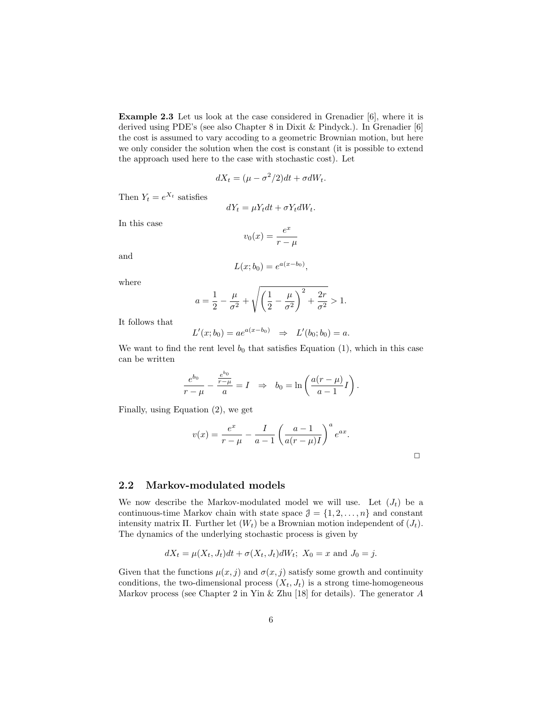Example 2.3 Let us look at the case considered in Grenadier [6], where it is derived using PDE's (see also Chapter 8 in Dixit & Pindyck.). In Grenadier [6] the cost is assumed to vary accoding to a geometric Brownian motion, but here we only consider the solution when the cost is constant (it is possible to extend the approach used here to the case with stochastic cost). Let

$$
dX_t = (\mu - \sigma^2/2)dt + \sigma dW_t.
$$

Then  $Y_t = e^{X_t}$  satisfies

$$
dY_t = \mu Y_t dt + \sigma Y_t dW_t.
$$

In this case

$$
v_0(x) = \frac{e^x}{r - \mu}
$$

and

$$
L(x;b_0) = e^{a(x-b_0)},
$$

where

$$
a = \frac{1}{2} - \frac{\mu}{\sigma^2} + \sqrt{\left(\frac{1}{2} - \frac{\mu}{\sigma^2}\right)^2 + \frac{2r}{\sigma^2}} > 1.
$$

It follows that

$$
L'(x; b_0) = ae^{a(x-b_0)} \Rightarrow L'(b_0; b_0) = a.
$$

We want to find the rent level  $b_0$  that satisfies Equation (1), which in this case can be written

$$
\frac{e^{b_0}}{r-\mu} - \frac{\frac{e^{b_0}}{r-\mu}}{a} = I \Rightarrow b_0 = \ln\left(\frac{a(r-\mu)}{a-1}I\right).
$$

Finally, using Equation (2), we get

$$
v(x) = \frac{e^x}{r - \mu} - \frac{I}{a - 1} \left( \frac{a - 1}{a(r - \mu)I} \right)^a e^{ax}.
$$

 $\Box$ 

#### 2.2 Markov-modulated models

We now describe the Markov-modulated model we will use. Let  $(J_t)$  be a continuous-time Markov chain with state space  $\mathcal{J} = \{1, 2, \ldots, n\}$  and constant intensity matrix Π. Further let  $(W_t)$  be a Brownian motion independent of  $(J_t)$ . The dynamics of the underlying stochastic process is given by

$$
dX_t = \mu(X_t, J_t)dt + \sigma(X_t, J_t)dW_t
$$
;  $X_0 = x$  and  $J_0 = j$ .

Given that the functions  $\mu(x, j)$  and  $\sigma(x, j)$  satisfy some growth and continuity conditions, the two-dimensional process  $(X_t, J_t)$  is a strong time-homogeneous Markov process (see Chapter 2 in Yin & Zhu [18] for details). The generator  $A$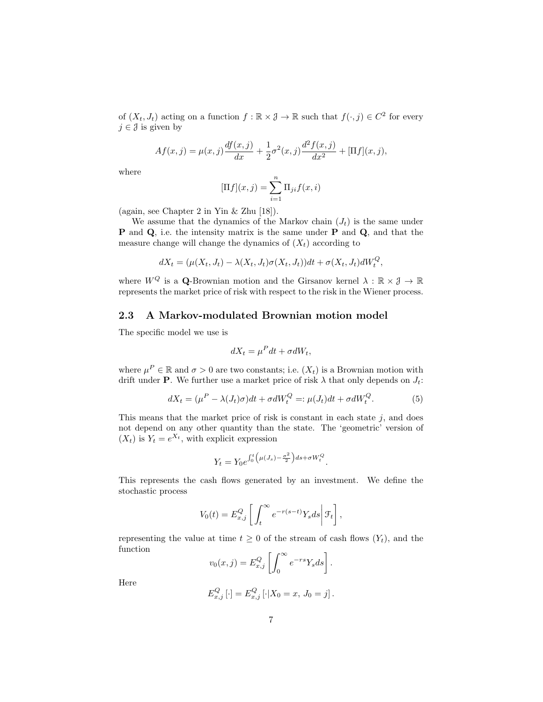of  $(X_t, J_t)$  acting on a function  $f : \mathbb{R} \times \mathcal{J} \to \mathbb{R}$  such that  $f(\cdot, j) \in C^2$  for every  $j \in \mathcal{J}$  is given by

$$
Af(x,j) = \mu(x,j)\frac{df(x,j)}{dx} + \frac{1}{2}\sigma^2(x,j)\frac{d^2f(x,j)}{dx^2} + [\Pi f](x,j),
$$

where

$$
[\Pi f](x,j) = \sum_{i=1}^{n} \Pi_{ji} f(x,i)
$$

(again, see Chapter 2 in Yin & Zhu [18]).

We assume that the dynamics of the Markov chain  $(J_t)$  is the same under P and Q, i.e. the intensity matrix is the same under P and Q, and that the measure change will change the dynamics of  $(X_t)$  according to

$$
dX_t = (\mu(X_t, J_t) - \lambda(X_t, J_t)\sigma(X_t, J_t))dt + \sigma(X_t, J_t)dW_t^Q,
$$

where  $W^Q$  is a Q-Brownian motion and the Girsanov kernel  $\lambda : \mathbb{R} \times \mathcal{J} \to \mathbb{R}$ represents the market price of risk with respect to the risk in the Wiener process.

#### 2.3 A Markov-modulated Brownian motion model

The specific model we use is

$$
dX_t = \mu^P dt + \sigma dW_t,
$$

where  $\mu^P \in \mathbb{R}$  and  $\sigma > 0$  are two constants; i.e.  $(X_t)$  is a Brownian motion with drift under **P**. We further use a market price of risk  $\lambda$  that only depends on  $J_t$ :

$$
dX_t = (\mu^P - \lambda(J_t)\sigma)dt + \sigma dW_t^Q =: \mu(J_t)dt + \sigma dW_t^Q.
$$
 (5)

This means that the market price of risk is constant in each state  $j$ , and does not depend on any other quantity than the state. The 'geometric' version of  $(X_t)$  is  $Y_t = e^{X_t}$ , with explicit expression

$$
Y_t = Y_0 e^{\int_0^t \left(\mu(J_s) - \frac{\sigma^2}{2}\right) ds + \sigma W_t^Q}.
$$

This represents the cash flows generated by an investment. We define the stochastic process

$$
V_0(t) = E_{x,j}^Q \left[ \int_t^\infty e^{-r(s-t)} Y_s ds \middle| \mathcal{F}_t \right],
$$

representing the value at time  $t \geq 0$  of the stream of cash flows  $(Y_t)$ , and the function

$$
v_0(x,j) = E_{x,j}^Q \left[ \int_0^\infty e^{-rs} Y_s ds \right].
$$

Here

$$
E_{x,j}^{Q} [\cdot] = E_{x,j}^{Q} [\cdot] X_0 = x, J_0 = j].
$$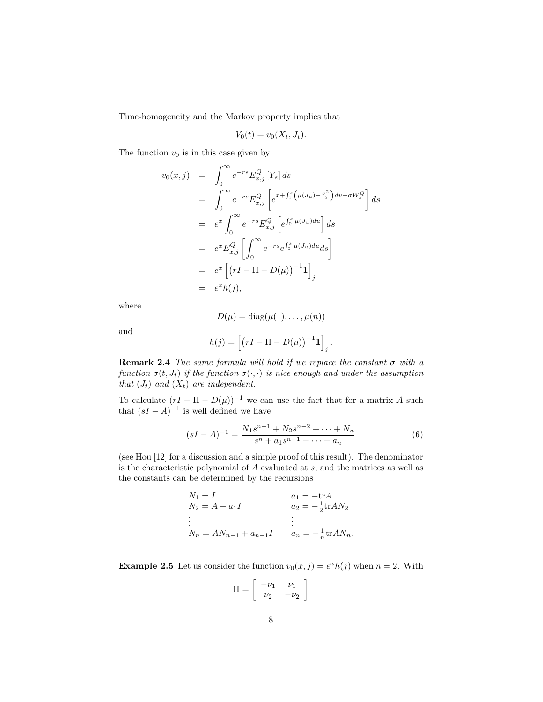Time-homogeneity and the Markov property implies that

$$
V_0(t) = v_0(X_t, J_t).
$$

The function  $v_0$  is in this case given by

$$
v_0(x,j) = \int_0^{\infty} e^{-rs} E_{x,j}^Q [Y_s] ds
$$
  
\n
$$
= \int_0^{\infty} e^{-rs} E_{x,j}^Q [e^{x + \int_0^s (\mu(J_u) - \frac{\sigma^2}{2}) du + \sigma W_s^Q}] ds
$$
  
\n
$$
= e^x \int_0^{\infty} e^{-rs} E_{x,j}^Q [e^{\int_0^s \mu(J_u) du}] ds
$$
  
\n
$$
= e^x E_{x,j}^Q \left[ \int_0^{\infty} e^{-rs} e^{\int_0^s \mu(J_u) du} ds \right]
$$
  
\n
$$
= e^x [(rI - \Pi - D(\mu))^{-1} \mathbf{1}]_j
$$
  
\n
$$
= e^x h(j),
$$

where

$$
D(\mu) = \text{diag}(\mu(1), \dots, \mu(n))
$$

$$
h(j) = \left[ \left( rI - \Pi - D(\mu) \right)^{-1} \mathbf{1} \right]
$$

and

**Remark 2.4** The same formula will hold if we replace the constant 
$$
\sigma
$$
 with a function  $\sigma(t, J_t)$  if the function  $\sigma(\cdot, \cdot)$  is nice enough and under the assumption that  $(J_t)$  and  $(X_t)$  are independent.

To calculate  $(rI - \Pi - D(\mu))^{-1}$  we can use the fact that for a matrix A such that  $(sI - A)^{-1}$  is well defined we have

$$
(sI - A)^{-1} = \frac{N_1 s^{n-1} + N_2 s^{n-2} + \dots + N_n}{s^n + a_1 s^{n-1} + \dots + a_n}
$$
(6)

j .

(see Hou [12] for a discussion and a simple proof of this result). The denominator is the characteristic polynomial of A evaluated at s, and the matrices as well as the constants can be determined by the recursions

$$
N_1 = I \nN_2 = A + a_1 I \n\vdots \nN_n = AN_{n-1} + a_{n-1} I
$$
\n
$$
a_1 = -\text{tr}A \n a_2 = -\frac{1}{2}\text{tr}AN_2 \n\vdots \n a_n = -\frac{1}{n}\text{tr}AN_n.
$$

**Example 2.5** Let us consider the function  $v_0(x, j) = e^x h(j)$  when  $n = 2$ . With

$$
\Pi = \left[ \begin{array}{cc} -\nu_1 & \nu_1 \\ \nu_2 & -\nu_2 \end{array} \right]
$$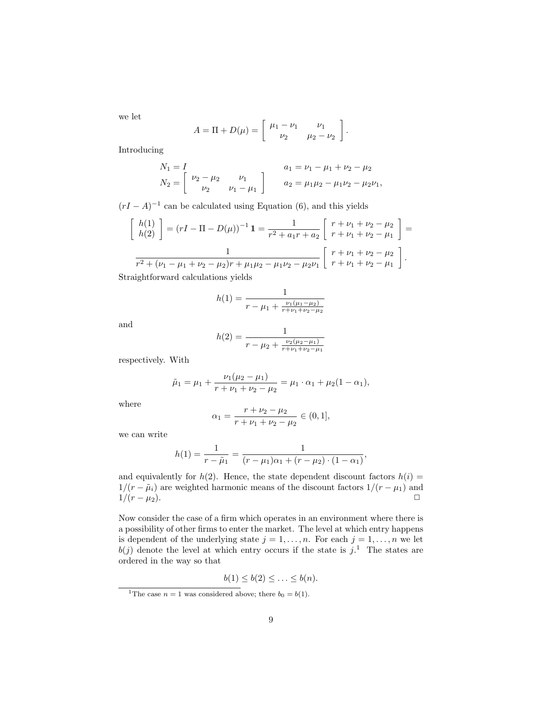we let

$$
A = \Pi + D(\mu) = \begin{bmatrix} \mu_1 - \nu_1 & \nu_1 \\ \nu_2 & \mu_2 - \nu_2 \end{bmatrix}.
$$

Introducing

$$
N_1 = I
$$
  
\n
$$
N_2 = \begin{bmatrix} \nu_2 - \mu_2 & \nu_1 \\ \nu_2 & \nu_1 - \mu_1 \end{bmatrix}
$$
  
\n
$$
a_1 = \nu_1 - \mu_1 + \nu_2 - \mu_2
$$
  
\n
$$
a_2 = \mu_1 \mu_2 - \mu_1 \nu_2 - \mu_2 \nu_1,
$$

 $(rI - A)^{-1}$  can be calculated using Equation (6), and this yields

$$
\begin{bmatrix} h(1) \\ h(2) \end{bmatrix} = (rI - \Pi - D(\mu))^{-1} \mathbf{1} = \frac{1}{r^2 + a_1 r + a_2} \begin{bmatrix} r + \nu_1 + \nu_2 - \mu_2 \\ r + \nu_1 + \nu_2 - \mu_1 \end{bmatrix} = \frac{1}{r^2 + (\nu_1 - \mu_1 + \nu_2 - \mu_2)r + \mu_1\mu_2 - \mu_1\nu_2 - \mu_2\nu_1} \begin{bmatrix} r + \nu_1 + \nu_2 - \mu_2 \\ r + \nu_1 + \nu_2 - \mu_1 \end{bmatrix}.
$$

Straightforward calculations yields

$$
h(1) = \frac{1}{r - \mu_1 + \frac{\nu_1(\mu_1 - \mu_2)}{r + \nu_1 + \nu_2 - \mu_2}}
$$

and

$$
h(2) = \frac{1}{r - \mu_2 + \frac{\nu_2(\mu_2 - \mu_1)}{r + \nu_1 + \nu_2 - \mu_1}}
$$

respectively. With

$$
\tilde{\mu}_1 = \mu_1 + \frac{\nu_1(\mu_2 - \mu_1)}{r + \nu_1 + \nu_2 - \mu_2} = \mu_1 \cdot \alpha_1 + \mu_2(1 - \alpha_1),
$$

where

$$
\alpha_1 = \frac{r + \nu_2 - \mu_2}{r + \nu_1 + \nu_2 - \mu_2} \in (0, 1],
$$

we can write

$$
h(1) = \frac{1}{r - \tilde{\mu}_1} = \frac{1}{(r - \mu_1)\alpha_1 + (r - \mu_2) \cdot (1 - \alpha_1)},
$$

and equivalently for  $h(2)$ . Hence, the state dependent discount factors  $h(i)$  =  $1/(r - \tilde{\mu}_i)$  are weighted harmonic means of the discount factors  $1/(r - \mu_1)$  and  $1/(r - \mu_2)$ .

Now consider the case of a firm which operates in an environment where there is a possibility of other firms to enter the market. The level at which entry happens is dependent of the underlying state  $j = 1, \ldots, n$ . For each  $j = 1, \ldots, n$  we let  $b(j)$  denote the level at which entry occurs if the state is  $j$ <sup>1</sup>. The states are ordered in the way so that

$$
b(1) \leq b(2) \leq \ldots \leq b(n).
$$

<sup>&</sup>lt;sup>1</sup>The case  $n = 1$  was considered above; there  $b_0 = b(1)$ .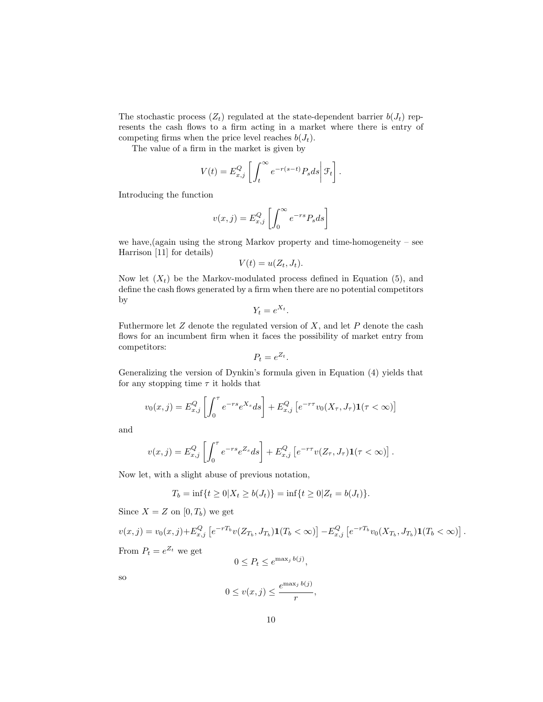The stochastic process  $(Z_t)$  regulated at the state-dependent barrier  $b(J_t)$  represents the cash flows to a firm acting in a market where there is entry of competing firms when the price level reaches  $b(J_t)$ .

The value of a firm in the market is given by

$$
V(t) = E_{x,j}^Q \left[ \int_t^\infty e^{-r(s-t)} P_s ds \right] \mathcal{F}_t \right].
$$

Introducing the function

$$
v(x,j) = E_{x,j}^Q \left[ \int_0^\infty e^{-rs} P_s ds \right]
$$

we have,(again using the strong Markov property and time-homogeneity – see Harrison [11] for details)

$$
V(t) = u(Z_t, J_t).
$$

Now let  $(X_t)$  be the Markov-modulated process defined in Equation (5), and define the cash flows generated by a firm when there are no potential competitors by

$$
Y_t = e^{X_t}.
$$

Futhermore let  $Z$  denote the regulated version of  $X$ , and let  $P$  denote the cash flows for an incumbent firm when it faces the possibility of market entry from competitors:

$$
P_t = e^{Z_t}.
$$

Generalizing the version of Dynkin's formula given in Equation (4) yields that for any stopping time  $\tau$  it holds that

$$
v_0(x,j) = E_{x,j}^Q \left[ \int_0^{\tau} e^{-rs} e^{X_s} ds \right] + E_{x,j}^Q \left[ e^{-r\tau} v_0(X_{\tau}, J_{\tau}) \mathbf{1}(\tau < \infty) \right]
$$

and

$$
v(x,j) = E_{x,j}^Q \left[ \int_0^{\tau} e^{-rs} e^{z_s} ds \right] + E_{x,j}^Q \left[ e^{-r\tau} v(Z_{\tau}, J_{\tau}) \mathbf{1}(\tau < \infty) \right].
$$

Now let, with a slight abuse of previous notation,

$$
T_b = \inf\{t \ge 0 | X_t \ge b(J_t)\} = \inf\{t \ge 0 | Z_t = b(J_t)\}.
$$

Since  $X = Z$  on  $[0, T_b)$  we get

$$
v(x,j) = v_0(x,j) + E_{x,j}^Q \left[ e^{-rT_b} v(Z_{T_b}, J_{T_b}) \mathbf{1}(T_b < \infty) \right] - E_{x,j}^Q \left[ e^{-rT_b} v_0(X_{T_b}, J_{T_b}) \mathbf{1}(T_b < \infty) \right]
$$
  
From  $P_t = e^{Z_t}$  we get

.

$$
0 \le P_t \le e^{\max_j b(j)},
$$

so

$$
0 \le v(x,j) \le \frac{e^{\max_j b(j)}}{r},
$$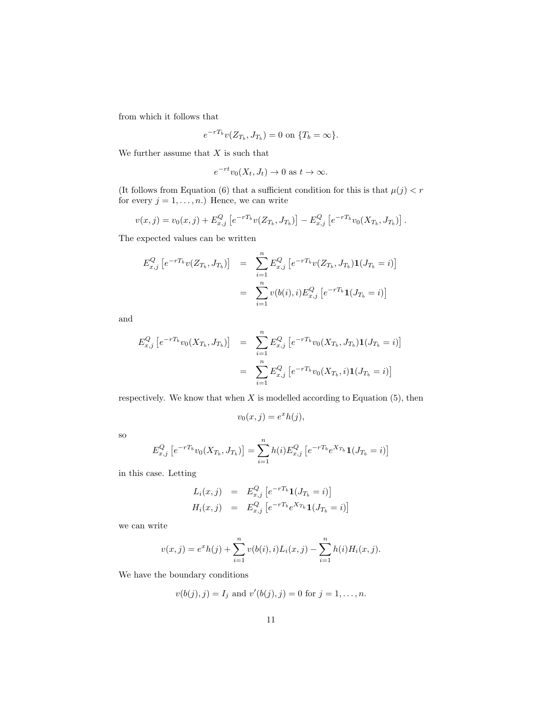from which it follows that

$$
e^{-rT_b}v(Z_{T_b}, J_{T_b}) = 0 \text{ on } \{T_b = \infty\}.
$$

We further assume that  $X$  is such that

$$
e^{-rt}v_0(X_t, J_t) \to 0 \text{ as } t \to \infty.
$$

(It follows from Equation (6) that a sufficient condition for this is that  $\mu(j) < r$ for every  $j = 1, \ldots, n$ .) Hence, we can write

$$
v(x, j) = v_0(x, j) + E_{x, j}^Q \left[ e^{-rT_b} v(Z_{T_b}, J_{T_b}) \right] - E_{x, j}^Q \left[ e^{-rT_b} v_0(X_{T_b}, J_{T_b}) \right].
$$

The expected values can be written

$$
E_{x,j}^{Q} [e^{-rT_b}v(Z_{T_b}, J_{T_b})] = \sum_{i=1}^{n} E_{x,j}^{Q} [e^{-rT_b}v(Z_{T_b}, J_{T_b})\mathbf{1}(J_{T_b} = i)]
$$
  

$$
= \sum_{i=1}^{n} v(b(i), i) E_{x,j}^{Q} [e^{-rT_b}\mathbf{1}(J_{T_b} = i)]
$$

and

$$
E_{x,j}^{Q} [e^{-rT_b}v_0(X_{T_b}, J_{T_b})] = \sum_{i=1}^{n} E_{x,j}^{Q} [e^{-rT_b}v_0(X_{T_b}, J_{T_b})\mathbf{1}(J_{T_b} = i)]
$$
  

$$
= \sum_{i=1}^{n} E_{x,j}^{Q} [e^{-rT_b}v_0(X_{T_b}, i)\mathbf{1}(J_{T_b} = i)]
$$

respectively. We know that when  $X$  is modelled according to Equation  $(5)$ , then

$$
v_0(x,j) = e^x h(j),
$$

so

$$
E_{x,j}^{Q} \left[ e^{-rT_b} v_0(X_{T_b}, J_{T_b}) \right] = \sum_{i=1}^{n} h(i) E_{x,j}^{Q} \left[ e^{-rT_b} e^{X_{T_b}} \mathbf{1}(J_{T_b} = i) \right]
$$

in this case. Letting

$$
L_i(x, j) = E_{x,j}^Q [e^{-rT_b} \mathbf{1}(J_{T_b} = i)]
$$
  
\n
$$
H_i(x, j) = E_{x,j}^Q [e^{-rT_b} e^{X_{T_b}} \mathbf{1}(J_{T_b} = i)]
$$

we can write

$$
v(x,j) = e^x h(j) + \sum_{i=1}^n v(b(i),i) L_i(x,j) - \sum_{i=1}^n h(i) H_i(x,j).
$$

We have the boundary conditions

$$
v(b(j), j) = I_j
$$
 and  $v'(b(j), j) = 0$  for  $j = 1, ..., n$ .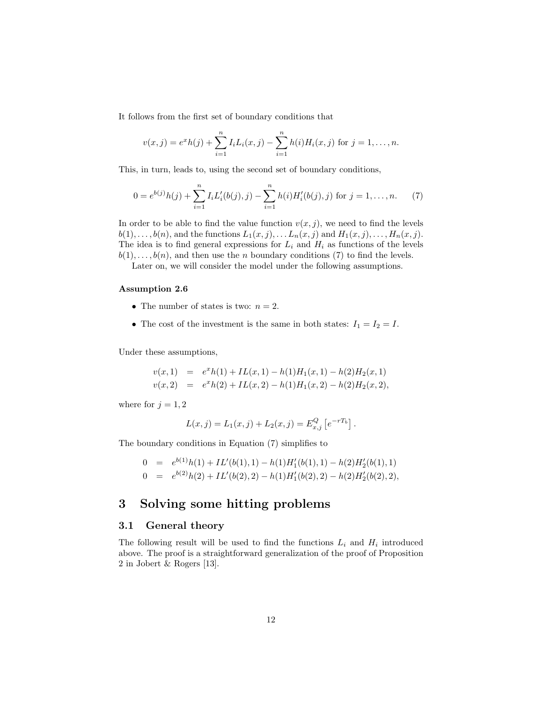It follows from the first set of boundary conditions that

$$
v(x,j) = e^x h(j) + \sum_{i=1}^n I_i L_i(x,j) - \sum_{i=1}^n h(i) H_i(x,j)
$$
 for  $j = 1, ..., n$ .

This, in turn, leads to, using the second set of boundary conditions,

$$
0 = e^{b(j)}h(j) + \sum_{i=1}^{n} I_i L'_i(b(j), j) - \sum_{i=1}^{n} h(i) H'_i(b(j), j) \text{ for } j = 1, ..., n.
$$
 (7)

In order to be able to find the value function  $v(x, j)$ , we need to find the levels  $b(1), \ldots, b(n)$ , and the functions  $L_1(x, j), \ldots, L_n(x, j)$  and  $H_1(x, j), \ldots, H_n(x, j)$ . The idea is to find general expressions for  $L_i$  and  $H_i$  as functions of the levels  $b(1), \ldots, b(n)$ , and then use the *n* boundary conditions (7) to find the levels.

Later on, we will consider the model under the following assumptions.

#### Assumption 2.6

- The number of states is two:  $n = 2$ .
- The cost of the investment is the same in both states:  $I_1 = I_2 = I$ .

Under these assumptions,

$$
v(x,1) = exh(1) + IL(x,1) - h(1)H1(x,1) - h(2)H2(x,1)
$$
  

$$
v(x,2) = exh(2) + IL(x,2) - h(1)H1(x,2) - h(2)H2(x,2),
$$

where for  $j = 1, 2$ 

$$
L(x, j) = L_1(x, j) + L_2(x, j) = E_{x, j}^Q [e^{-rT_b}].
$$

The boundary conditions in Equation (7) simplifies to

$$
0 = e^{b(1)}h(1) + IL'(b(1), 1) - h(1)H'_1(b(1), 1) - h(2)H'_2(b(1), 1)
$$
  
\n
$$
0 = e^{b(2)}h(2) + IL'(b(2), 2) - h(1)H'_1(b(2), 2) - h(2)H'_2(b(2), 2),
$$

# 3 Solving some hitting problems

#### 3.1 General theory

The following result will be used to find the functions  $L_i$  and  $H_i$  introduced above. The proof is a straightforward generalization of the proof of Proposition 2 in Jobert & Rogers [13].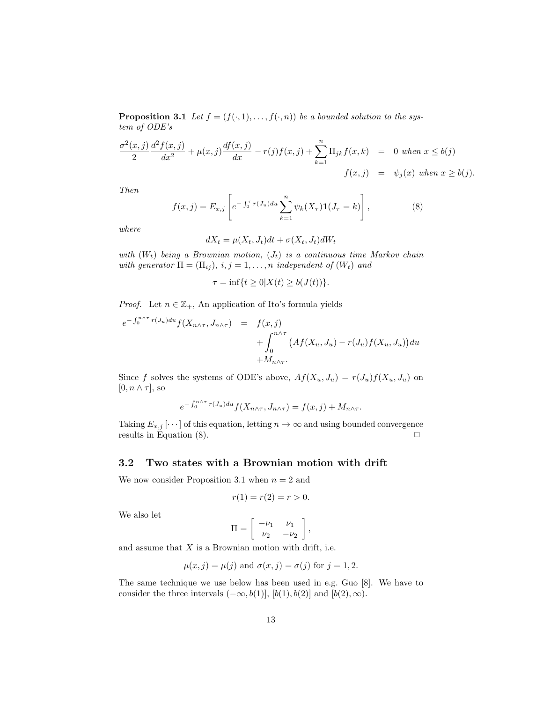**Proposition 3.1** Let  $f = (f(\cdot, 1), \ldots, f(\cdot, n))$  be a bounded solution to the system of ODE's

$$
\frac{\sigma^2(x,j)}{2} \frac{d^2 f(x,j)}{dx^2} + \mu(x,j) \frac{df(x,j)}{dx} - r(j)f(x,j) + \sum_{k=1}^n \Pi_{jk} f(x,k) = 0 \text{ when } x \le b(j)
$$
  

$$
f(x,j) = \psi_j(x) \text{ when } x \ge b(j).
$$

Then

$$
f(x,j) = E_{x,j} \left[ e^{-\int_0^{\tau} r(J_u) du} \sum_{k=1}^n \psi_k(X_{\tau}) \mathbf{1}(J_{\tau} = k) \right],
$$
 (8)

where

$$
dX_t = \mu(X_t, J_t)dt + \sigma(X_t, J_t)dW_t
$$

with  $(W_t)$  being a Brownian motion,  $(J_t)$  is a continuous time Markov chain with generator  $\Pi = (\Pi_{ij}), i, j = 1, \ldots, n$  independent of  $(W_t)$  and

$$
\tau = \inf\{t \ge 0 | X(t) \ge b(J(t))\}.
$$

*Proof.* Let  $n \in \mathbb{Z}_+$ , An application of Ito's formula yields

$$
e^{-\int_0^{n\wedge\tau}r(J_u)du}f(X_{n\wedge\tau},J_{n\wedge\tau}) = f(x,j)
$$
  
+ 
$$
\int_0^{n\wedge\tau} \left(Af(X_u,J_u) - r(J_u)f(X_u,J_u)\right)du
$$
  
+ 
$$
M_{n\wedge\tau}.
$$

Since f solves the systems of ODE's above,  $Af(X_u, J_u) = r(J_u)f(X_u, J_u)$  on  $[0, n \wedge \tau]$ , so

$$
e^{-\int_0^{n\wedge\tau}r(J_u)du}f(X_{n\wedge\tau},J_{n\wedge\tau})=f(x,j)+M_{n\wedge\tau}.
$$

Taking  $E_{x,j}$  [ $\cdots$ ] of this equation, letting  $n \to \infty$  and using bounded convergence results in Equation  $(8)$ .

#### 3.2 Two states with a Brownian motion with drift

We now consider Proposition 3.1 when  $n = 2$  and

$$
r(1) = r(2) = r > 0.
$$

We also let

$$
\Pi = \left[ \begin{array}{cc} -\nu_1 & \nu_1 \\ \nu_2 & -\nu_2 \end{array} \right],
$$

and assume that  $X$  is a Brownian motion with drift, i.e.

$$
\mu(x, j) = \mu(j)
$$
 and  $\sigma(x, j) = \sigma(j)$  for  $j = 1, 2$ .

The same technique we use below has been used in e.g. Guo [8]. We have to consider the three intervals  $(-\infty, b(1)], [b(1), b(2)]$  and  $[b(2), \infty)$ .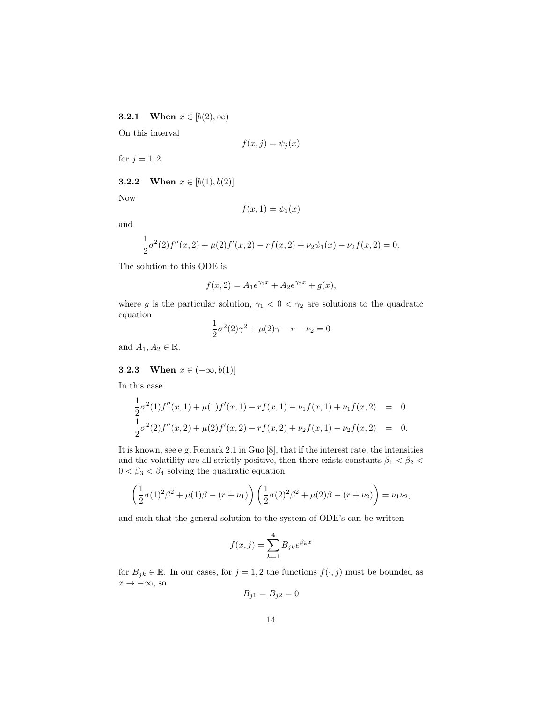**3.2.1** When  $x \in [b(2), \infty)$ 

On this interval

$$
f(x,j) = \psi_j(x)
$$

for  $j = 1, 2$ .

**3.2.2** When  $x \in [b(1), b(2)]$ 

Now

$$
f(x,1) = \psi_1(x)
$$

and

$$
\frac{1}{2}\sigma^2(2)f''(x,2) + \mu(2)f'(x,2) - rf(x,2) + \nu_2\psi_1(x) - \nu_2f(x,2) = 0.
$$

The solution to this ODE is

$$
f(x, 2) = A_1 e^{\gamma_1 x} + A_2 e^{\gamma_2 x} + g(x),
$$

where g is the particular solution,  $\gamma_1 < 0 < \gamma_2$  are solutions to the quadratic equation 1

$$
\frac{1}{2}\sigma^2(2)\gamma^2 + \mu(2)\gamma - r - \nu_2 = 0
$$

and  $A_1, A_2 \in \mathbb{R}$ .

3.2.3 When  $x \in (-\infty, b(1)]$ 

In this case

$$
\frac{1}{2}\sigma^2(1)f''(x,1) + \mu(1)f'(x,1) - rf(x,1) - \nu_1f(x,1) + \nu_1f(x,2) = 0
$$
  
\n
$$
\frac{1}{2}\sigma^2(2)f''(x,2) + \mu(2)f'(x,2) - rf(x,2) + \nu_2f(x,1) - \nu_2f(x,2) = 0.
$$

It is known, see e.g. Remark 2.1 in Guo [8], that if the interest rate, the intensities and the volatility are all strictly positive, then there exists constants  $\beta_1<\beta_2<$  $0<\beta_3<\beta_4$  solving the quadratic equation

$$
\left(\frac{1}{2}\sigma(1)^2\beta^2 + \mu(1)\beta - (r + \nu_1)\right)\left(\frac{1}{2}\sigma(2)^2\beta^2 + \mu(2)\beta - (r + \nu_2)\right) = \nu_1\nu_2,
$$

and such that the general solution to the system of ODE's can be written

$$
f(x,j) = \sum_{k=1}^{4} B_{jk} e^{\beta_k x}
$$

for  $B_{jk} \in \mathbb{R}$ . In our cases, for  $j = 1, 2$  the functions  $f(\cdot, j)$  must be bounded as  $x \to -\infty$ , so

$$
B_{j1} = B_{j2} = 0
$$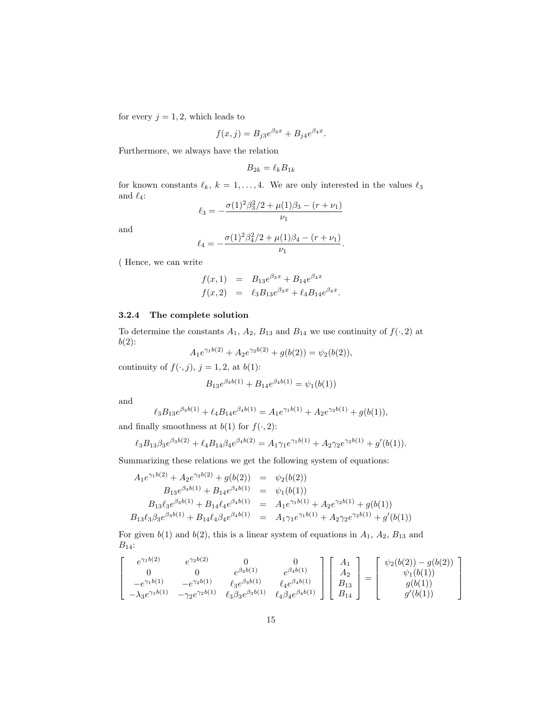for every  $j = 1, 2$ , which leads to

$$
f(x, j) = B_{j3}e^{\beta_3 x} + B_{j4}e^{\beta_4 x}.
$$

Furthermore, we always have the relation

$$
B_{2k} = \ell_k B_{1k}
$$

for known constants  $\ell_k, k = 1, ..., 4$ . We are only interested in the values  $\ell_3$ and  $\ell_4$ :

$$
\ell_3 = -\frac{\sigma(1)^2 \beta_3^2 / 2 + \mu(1) \beta_3 - (r + \nu_1)}{\nu_1}
$$

and

$$
\ell_4 = -\frac{\sigma(1)^2 \beta_4^2/2 + \mu(1)\beta_4 - (r + \nu_1)}{\nu_1}.
$$

( Hence, we can write

$$
f(x, 1) = B_{13}e^{\beta_3 x} + B_{14}e^{\beta_4 x}
$$
  

$$
f(x, 2) = \ell_3 B_{13}e^{\beta_3 x} + \ell_4 B_{14}e^{\beta_4 x}.
$$

### 3.2.4 The complete solution

To determine the constants  $A_1$ ,  $A_2$ ,  $B_{13}$  and  $B_{14}$  we use continuity of  $f(\cdot, 2)$  at  $b(2)$ :  $h(2) + 4 \gamma_2 h(2)$ 

$$
A_1 e^{\gamma_1 b(2)} + A_2 e^{\gamma_2 b(2)} + g(b(2)) = \psi_2(b(2)),
$$

continuity of  $f(\cdot, j)$ ,  $j = 1, 2$ , at  $b(1)$ :

$$
B_{13}e^{\beta_3 b(1)} + B_{14}e^{\beta_4 b(1)} = \psi_1(b(1))
$$

and

$$
\ell_3 B_{13} e^{\beta_3 b(1)} + \ell_4 B_{14} e^{\beta_4 b(1)} = A_1 e^{\gamma_1 b(1)} + A_2 e^{\gamma_2 b(1)} + g(b(1)),
$$

and finally smoothness at  $b(1)$  for  $f(\cdot, 2)$ :

$$
\ell_3 B_{13} \beta_3 e^{\beta_3 b(2)} + \ell_4 B_{14} \beta_4 e^{\beta_4 b(2)} = A_1 \gamma_1 e^{\gamma_1 b(1)} + A_2 \gamma_2 e^{\gamma_2 b(1)} + g'(b(1)).
$$

Summarizing these relations we get the following system of equations:

$$
A_1 e^{\gamma_1 b(2)} + A_2 e^{\gamma_2 b(2)} + g(b(2)) = \psi_2(b(2))
$$
  
\n
$$
B_{13} e^{\beta_3 b(1)} + B_{14} e^{\beta_4 b(1)} = \psi_1(b(1))
$$
  
\n
$$
B_{13} \ell_3 e^{\beta_3 b(1)} + B_{14} \ell_4 e^{\beta_4 b(1)} = A_1 e^{\gamma_1 b(1)} + A_2 e^{\gamma_2 b(1)} + g(b(1))
$$
  
\n
$$
B_{13} \ell_3 \beta_3 e^{\beta_3 b(1)} + B_{14} \ell_4 \beta_4 e^{\beta_4 b(1)} = A_1 \gamma_1 e^{\gamma_1 b(1)} + A_2 \gamma_2 e^{\gamma_2 b(1)} + g'(b(1))
$$

For given  $b(1)$  and  $b(2)$ , this is a linear system of equations in  $A_1$ ,  $A_2$ ,  $B_{13}$  and  $B_{14}$ :

$$
\begin{bmatrix}\n e^{\gamma_1 b(2)} & e^{\gamma_2 b(2)} & 0 & 0 \\
 0 & 0 & e^{\beta_3 b(1)} & e^{\beta_4 b(1)} \\
 -e^{\gamma_1 b(1)} & -e^{\gamma_2 b(1)} & \ell_3 e^{\beta_3 b(1)} & \ell_4 e^{\beta_4 b(1)} \\
 -\lambda_3 e^{\gamma_1 b(1)} & -\gamma_2 e^{\gamma_2 b(1)} & \ell_3 \beta_3 e^{\beta_3 b(1)} & \ell_4 \beta_4 e^{\beta_4 b(1)}\n\end{bmatrix}\n\begin{bmatrix}\n A_1 \\
 A_2 \\
 B_{13} \\
 B_{14}\n\end{bmatrix}\n=\n\begin{bmatrix}\n \psi_2(b(2)) - g(b(2)) \\
 \psi_1(b(1)) \\
 g(b(1)) \\
 g'(b(1))\n\end{bmatrix}
$$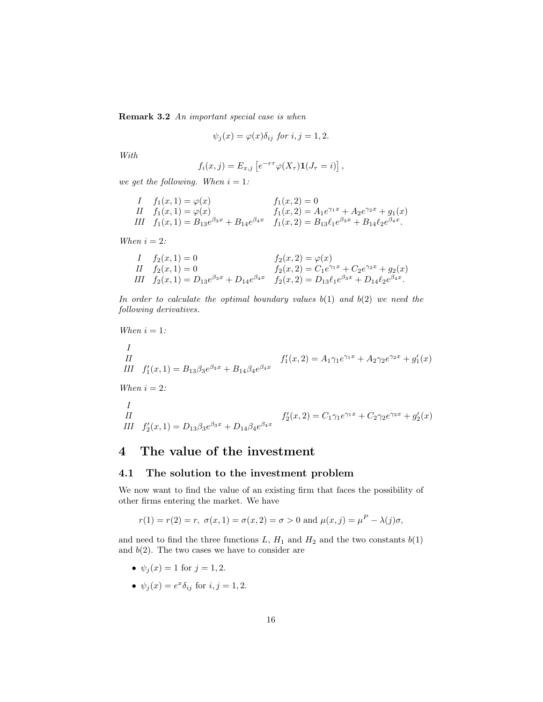Remark 3.2 An important special case is when

$$
\psi_j(x) = \varphi(x)\delta_{ij} \text{ for } i, j = 1, 2.
$$

With

$$
f_i(x,j) = E_{x,j} \left[ e^{-r\tau} \varphi(X_\tau) \mathbf{1}(J_\tau = i) \right],
$$

we get the following. When  $i = 1$ :

*I* 
$$
f_1(x, 1) = \varphi(x)
$$
  $f_1(x, 2) = 0$   
\n*II*  $f_1(x, 1) = \varphi(x)$   $f_1(x, 2) = A_1 e^{\gamma_1 x} + A_2 e^{\gamma_2 x} + g_1(x)$   
\n*III*  $f_1(x, 1) = B_{13} e^{\beta_3 x} + B_{14} e^{\beta_4 x}$   $f_1(x, 2) = B_{13} \ell_1 e^{\beta_3 x} + B_{14} \ell_2 e^{\beta_4 x}$ .

When  $i = 2$ :

$$
I \t f2(x, 1) = 0 \nII \t f2(x, 1) = 0 \nIII \t f2(x, 1) = D13e\beta3x + D14e\beta4x \t f2(x, 2) = C1e\gamma1x + C2e\gamma2x + g2(x) \nIII \t f2(x, 1) = D13e\beta3x + D14e\beta4x \t f2(x, 2) = D13l1e\beta3x + D14l2e\beta4x.
$$

In order to calculate the optimal boundary values  $b(1)$  and  $b(2)$  we need the following derivatives.

When 
$$
i = 1
$$
:

I

II  
III 
$$
f'_1(x, 1) = B_{13}\beta_3 e^{\beta_3 x} + B_{14}\beta_4 e^{\beta_4 x}
$$
  $f'_1(x, 2) = A_1\gamma_1 e^{\gamma_1 x} + A_2\gamma_2 e^{\gamma_2 x} + g'_1(x)$ 

When  $i = 2$ :

I  
\nII  
\nIII  
\n
$$
f'_2(x, 2) = C_1 \gamma_1 e^{\gamma_1 x} + C_2 \gamma_2 e^{\gamma_2 x} + g'_2(x)
$$
\nIII\n
$$
f'_2(x, 1) = D_{13} \beta_3 e^{\beta_3 x} + D_{14} \beta_4 e^{\beta_4 x}
$$

# 4 The value of the investment

#### 4.1 The solution to the investment problem

We now want to find the value of an existing firm that faces the possibility of other firms entering the market. We have

$$
r(1) = r(2) = r
$$
,  $\sigma(x, 1) = \sigma(x, 2) = \sigma > 0$  and  $\mu(x, j) = \mu^P - \lambda(j)\sigma$ ,

and need to find the three functions  $L, H_1$  and  $H_2$  and the two constants  $b(1)$ and  $b(2)$ . The two cases we have to consider are

- $\psi_j(x) = 1$  for  $j = 1, 2$ .
- $\psi_j(x) = e^x \delta_{ij}$  for  $i, j = 1, 2$ .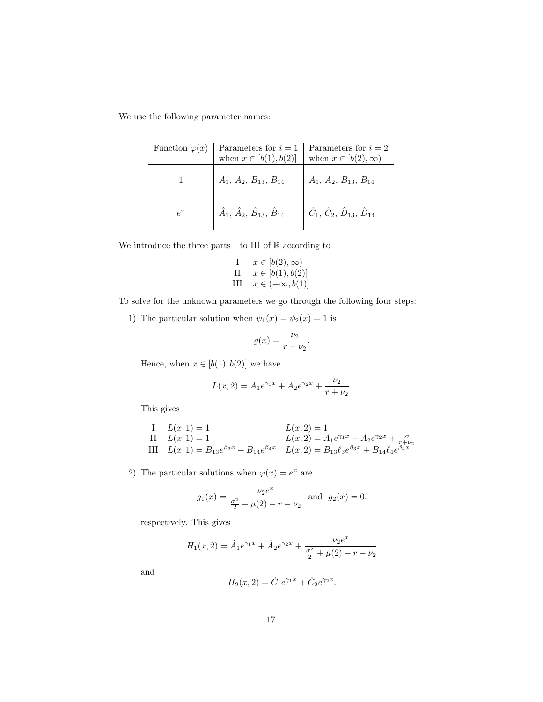We use the following parameter names:

| Function $\varphi(x)$ Parameters for $i = 1$ Parameters for $i = 2$<br>when $x \in [b(1), b(2)]$ when $x \in [b(2), \infty)$                                            |  |
|-------------------------------------------------------------------------------------------------------------------------------------------------------------------------|--|
| $A_1, A_2, B_{13}, B_{14} \qquad A_1, A_2, B_{13}, B_{14}$                                                                                                              |  |
| $\hat{A}_1, \, \hat{A}_2, \, \hat{B}_{13}, \, \hat{B}_{14} \quad \left  \begin{array}{c} \hat{C}_1, \, \hat{C}_2, \, \hat{D}_{13}, \, \hat{D}_{14} \end{array} \right.$ |  |

We introduce the three parts I to III of  $\mathbb R$  according to

I 
$$
x \in [b(2), \infty)
$$
  
\nII  $x \in [b(1), b(2)]$   
\nIII  $x \in (-\infty, b(1)]$ 

To solve for the unknown parameters we go through the following four steps:

1) The particular solution when  $\psi_1(x)=\psi_2(x)=1$  is

$$
g(x) = \frac{\nu_2}{r + \nu_2}.
$$

Hence, when  $x\in [b(1),b(2)]$  we have

$$
L(x, 2) = A_1 e^{\gamma_1 x} + A_2 e^{\gamma_2 x} + \frac{\nu_2}{r + \nu_2}.
$$

This gives

I 
$$
L(x, 1) = 1
$$
  
\nII  $L(x, 1) = 1$   
\nIII  $L(x, 1) = B_{13}e^{\beta_3 x} + B_{14}e^{\beta_4 x}$   
\n $L(x, 2) = A_1e^{\gamma_1 x} + A_2e^{\gamma_2 x} + \frac{\nu_2}{r + \nu_2}$   
\n $L(x, 2) = B_{13} \ell_3 e^{\beta_3 x} + B_{14} \ell_4 e^{\beta_4 x}.$ 

2) The particular solutions when  $\varphi(x) = e^x$  are

$$
g_1(x) = \frac{\nu_2 e^x}{\frac{\sigma^2}{2} + \mu(2) - r - \nu_2}
$$
 and  $g_2(x) = 0$ .

respectively. This gives

$$
H_1(x, 2) = \hat{A}_1 e^{\gamma_1 x} + \hat{A}_2 e^{\gamma_2 x} + \frac{\nu_2 e^x}{\frac{\sigma^2}{2} + \mu(2) - r - \nu_2}
$$

and

$$
H_2(x, 2) = \hat{C}_1 e^{\gamma_1 x} + \hat{C}_2 e^{\gamma_2 x}.
$$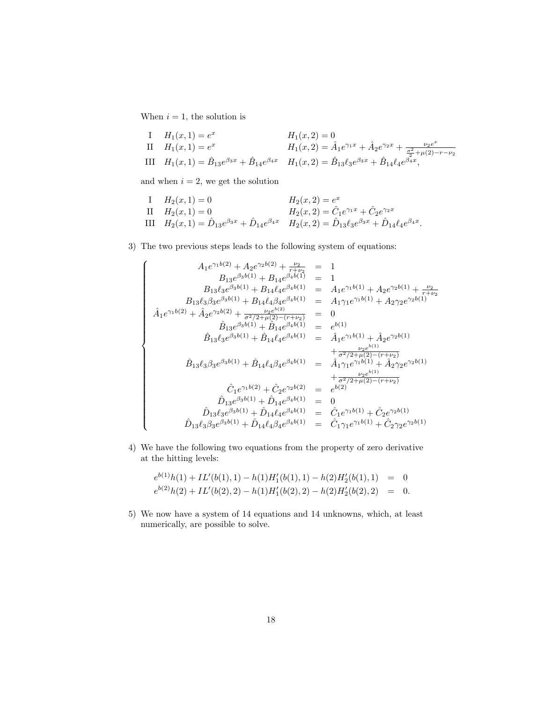When  $i = 1$ , the solution is

I  $H_1(x, 1) = e^x$   $H_1(x, 2) = 0$ II  $H_1(x, 1) = e^x$   $H_1(x, 2) = \hat{A}_1 e^{\gamma_1 x} + \hat{A}_2 e^{\gamma_2 x} + \frac{\nu_2 e^x}{\sigma^2 + \nu_1(x)}$ III  $H_1(x, 1) = e$ <br>
III  $H_1(x, 1) = \hat{B}_{13}e^{\beta_3x} + \hat{B}_{14}e^{\beta_4x}$   $H_1(x, 2) = \hat{B}_{13}\ell_3e^{\beta_3x} + \hat{B}_{14}\ell_4e^{\beta_4x}$ ,

and when  $i = 2$ , we get the solution

I 
$$
H_2(x, 1) = 0
$$
  
\nII  $H_2(x, 1) = 0$   
\nIII  $H_2(x, 1) = \hat{D}_{13}e^{\beta_3x} + \hat{D}_{14}e^{\beta_4x}$   
\n $H_2(x, 2) = \hat{C}_1e^{\gamma_1x} + \hat{C}_2e^{\gamma_2x}$   
\n $H_2(x, 2) = \hat{D}_{13}e^{\gamma_1x} + \hat{C}_2e^{\gamma_2x}$   
\n $H_2(x, 2) = \hat{D}_{13}e^{\beta_3x} + \hat{D}_{14}e^{\beta_4x}$ .

3) The two previous steps leads to the following system of equations:

$$
\hat{A}_{1}e^{\gamma_{1}b(2)} + A_{2}e^{\gamma_{2}b(2)} + \frac{\nu_{2}}{r+\nu_{2}} = 1
$$
\n
$$
B_{13}e^{\beta_{3}b(1)} + B_{14}e^{\beta_{4}b(1)} = 1
$$
\n
$$
B_{13}l_{3}\beta_{3}e^{\beta_{3}b(1)} + B_{14}l_{4}\beta_{4}e^{\beta_{4}b(1)} = A_{1}e^{\gamma_{1}b(1)} + A_{2}e^{\gamma_{2}b(1)} + \frac{\nu_{2}}{r+\nu_{2}}
$$
\n
$$
\hat{A}_{1}e^{\gamma_{1}b(2)} + \hat{A}_{2}e^{\gamma_{2}b(2)} + \frac{\nu_{2}e^{\lambda_{2}}}{\sigma^{2}/2+\mu(2)-(\tau+\nu_{2})} = 0
$$
\n
$$
\hat{B}_{13}e^{\beta_{3}b(1)} + \hat{B}_{14}e^{\beta_{4}b(1)} = e^{b(1)}
$$
\n
$$
\hat{B}_{13}e^{\beta_{3}b(1)} + \hat{B}_{14}l_{4}e^{\beta_{4}b(1)} = e^{b(1)}
$$
\n
$$
\hat{B}_{13}l_{3}\beta_{3}e^{\beta_{3}b(1)} + \hat{B}_{14}l_{4}e^{\beta_{4}b(1)} = \hat{A}_{1}e^{\gamma_{1}b(1)} + \hat{A}_{2}e^{\gamma_{2}b(1)}
$$
\n
$$
+ \frac{\nu_{2}e^{\lambda_{1}}}{\sigma^{2}/2+\mu(2)-(\tau+\nu_{2})} + \frac{\nu_{2}e^{\lambda_{2}}}{\sigma^{2}/2+\mu(2)-(\tau+\nu_{2})} + \frac{\nu_{2}e^{\lambda_{2}}}{\sigma^{2}/2+\mu(2)-(\tau+\nu_{2})}
$$
\n
$$
\hat{C}_{1}e^{\gamma_{1}b(2)} + \hat{C}_{2}e^{\gamma_{2}b(2)} = e^{b(2)}
$$
\n
$$
\hat{D}_{13}e^{\beta_{3}b(1)} + \hat{D}_{14}e^{\beta_{4}b(1)} = 0
$$
\n
$$
\hat{D}_{13}l_{3}\beta_{3}e^{\beta_{3}b(1)} + \hat{D}_{14}l_{
$$

4) We have the following two equations from the property of zero derivative at the hitting levels:

$$
e^{b(1)}h(1) + IL'(b(1), 1) - h(1)H'_1(b(1), 1) - h(2)H'_2(b(1), 1) = 0
$$
  

$$
e^{b(2)}h(2) + IL'(b(2), 2) - h(1)H'_1(b(2), 2) - h(2)H'_2(b(2), 2) = 0.
$$

5) We now have a system of 14 equations and 14 unknowns, which, at least numerically, are possible to solve.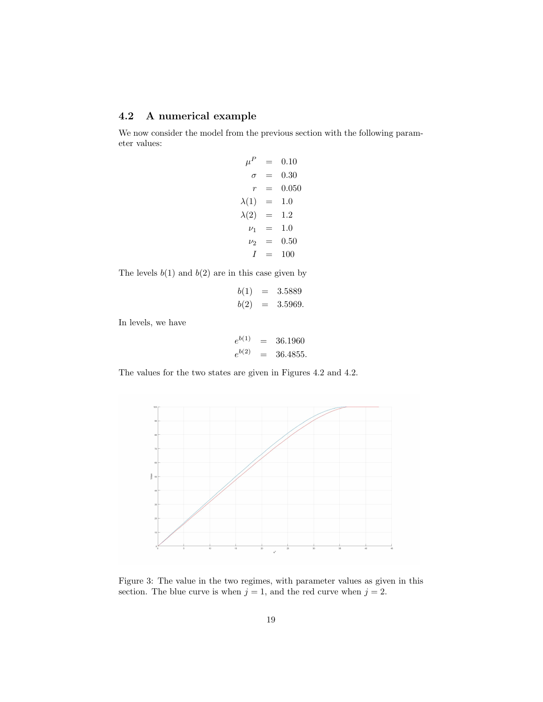### 4.2 A numerical example

We now consider the model from the previous section with the following parameter values:

$$
\mu^P = 0.10
$$
  
\n
$$
\sigma = 0.30
$$
  
\n
$$
r = 0.050
$$
  
\n
$$
\lambda(1) = 1.0
$$
  
\n
$$
\lambda(2) = 1.2
$$
  
\n
$$
\nu_1 = 1.0
$$
  
\n
$$
\nu_2 = 0.50
$$
  
\n
$$
I = 100
$$

The levels  $b(1)$  and  $b(2)$  are in this case given by

$$
b(1) = 3.5889
$$
  

$$
b(2) = 3.5969.
$$

In levels, we have

$$
e^{b(1)} = 36.1960
$$
  

$$
e^{b(2)} = 36.4855.
$$

The values for the two states are given in Figures 4.2 and 4.2.



Figure 3: The value in the two regimes, with parameter values as given in this section. The blue curve is when  $j = 1$ , and the red curve when  $j = 2$ .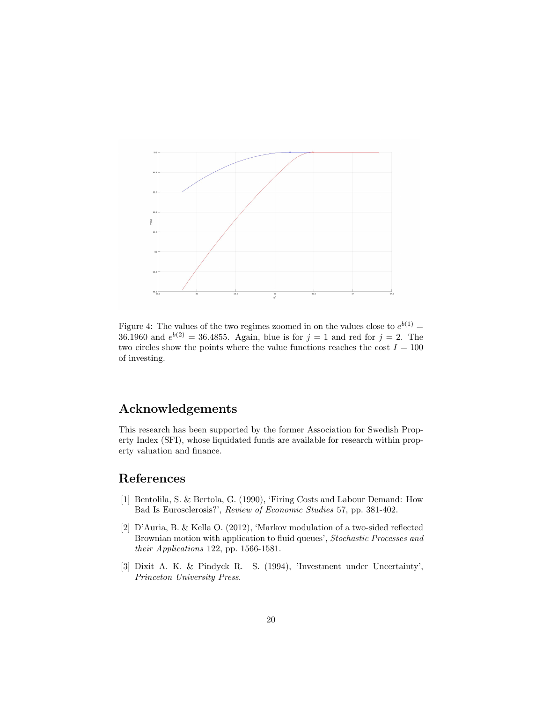

Figure 4: The values of the two regimes zoomed in on the values close to  $e^{b(1)} =$ 36.1960 and  $e^{b(2)} = 36.4855$ . Again, blue is for  $j = 1$  and red for  $j = 2$ . The two circles show the points where the value functions reaches the cost  $I = 100$ of investing.

# Acknowledgements

This research has been supported by the former Association for Swedish Property Index (SFI), whose liquidated funds are available for research within property valuation and finance.

# References

- [1] Bentolila, S. & Bertola, G. (1990), 'Firing Costs and Labour Demand: How Bad Is Eurosclerosis?', Review of Economic Studies 57, pp. 381-402.
- [2] D'Auria, B. & Kella O. (2012), 'Markov modulation of a two-sided reflected Brownian motion with application to fluid queues', Stochastic Processes and their Applications 122, pp. 1566-1581.
- [3] Dixit A. K. & Pindyck R. S. (1994), 'Investment under Uncertainty', Princeton University Press.